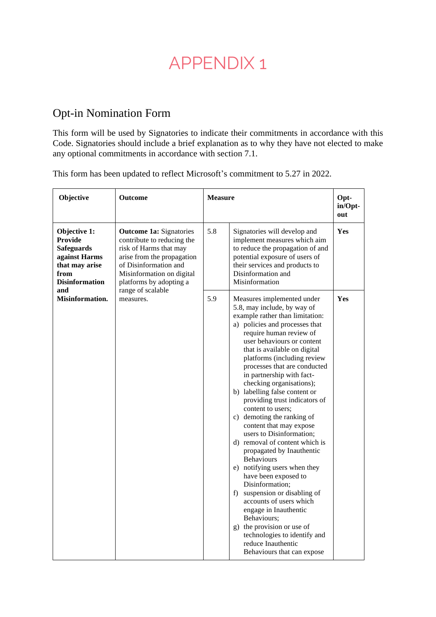## APPENDIX 1

## Opt-in Nomination Form

This form will be used by Signatories to indicate their commitments in accordance with this Code. Signatories should include a brief explanation as to why they have not elected to make any optional commitments in accordance with section 7.1.

This form has been updated to reflect Microsoft's commitment to 5.27 in 2022.

| Objective                                                                                                               | <b>Outcome</b>                                                                                                                                                                                        | <b>Measure</b> |                                                                                                                                                                                                                                                                                                                                                                                                                                                                                                                                                                                                                                                                                                                                                                                                                                                                                                           | Opt-<br>in/Opt-<br>out |
|-------------------------------------------------------------------------------------------------------------------------|-------------------------------------------------------------------------------------------------------------------------------------------------------------------------------------------------------|----------------|-----------------------------------------------------------------------------------------------------------------------------------------------------------------------------------------------------------------------------------------------------------------------------------------------------------------------------------------------------------------------------------------------------------------------------------------------------------------------------------------------------------------------------------------------------------------------------------------------------------------------------------------------------------------------------------------------------------------------------------------------------------------------------------------------------------------------------------------------------------------------------------------------------------|------------------------|
| Objective 1:<br><b>Provide</b><br><b>Safeguards</b><br>against Harms<br>that may arise<br>from<br><b>Disinformation</b> | <b>Outcome 1a: Signatories</b><br>contribute to reducing the<br>risk of Harms that may<br>arise from the propagation<br>of Disinformation and<br>Misinformation on digital<br>platforms by adopting a | 5.8            | Signatories will develop and<br>implement measures which aim<br>to reduce the propagation of and<br>potential exposure of users of<br>their services and products to<br>Disinformation and<br>Misinformation                                                                                                                                                                                                                                                                                                                                                                                                                                                                                                                                                                                                                                                                                              | Yes                    |
| and<br>Misinformation.                                                                                                  | range of scalable<br>measures.                                                                                                                                                                        | 5.9            | Measures implemented under<br>5.8, may include, by way of<br>example rather than limitation:<br>a) policies and processes that<br>require human review of<br>user behaviours or content<br>that is available on digital<br>platforms (including review<br>processes that are conducted<br>in partnership with fact-<br>checking organisations);<br>b) labelling false content or<br>providing trust indicators of<br>content to users:<br>c) demoting the ranking of<br>content that may expose<br>users to Disinformation;<br>d) removal of content which is<br>propagated by Inauthentic<br>Behaviours<br>e) notifying users when they<br>have been exposed to<br>Disinformation;<br>f) suspension or disabling of<br>accounts of users which<br>engage in Inauthentic<br>Behaviours;<br>g) the provision or use of<br>technologies to identify and<br>reduce Inauthentic<br>Behaviours that can expose | Yes                    |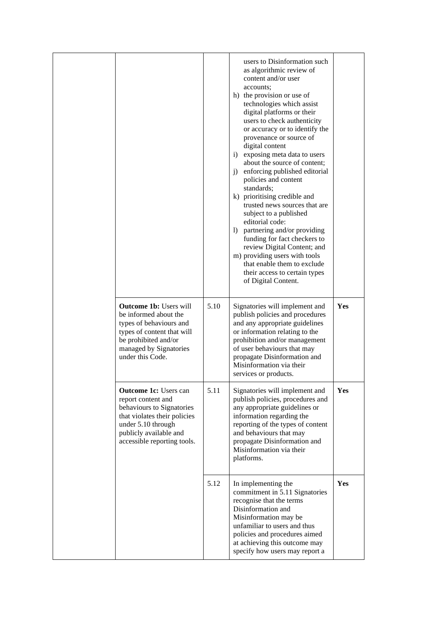|                                                                                                                                                                                                |      | users to Disinformation such<br>as algorithmic review of<br>content and/or user<br>accounts;<br>h) the provision or use of<br>technologies which assist<br>digital platforms or their<br>users to check authenticity<br>or accuracy or to identify the<br>provenance or source of<br>digital content<br>exposing meta data to users<br>$\left( \frac{1}{2} \right)$<br>about the source of content;<br>enforcing published editorial<br>i)<br>policies and content<br>standards;<br>k) prioritising credible and<br>trusted news sources that are<br>subject to a published<br>editorial code:<br>1) partnering and/or providing<br>funding for fact checkers to<br>review Digital Content; and<br>m) providing users with tools<br>that enable them to exclude<br>their access to certain types<br>of Digital Content. |            |
|------------------------------------------------------------------------------------------------------------------------------------------------------------------------------------------------|------|-------------------------------------------------------------------------------------------------------------------------------------------------------------------------------------------------------------------------------------------------------------------------------------------------------------------------------------------------------------------------------------------------------------------------------------------------------------------------------------------------------------------------------------------------------------------------------------------------------------------------------------------------------------------------------------------------------------------------------------------------------------------------------------------------------------------------|------------|
| <b>Outcome 1b: Users will</b><br>be informed about the<br>types of behaviours and<br>types of content that will<br>be prohibited and/or<br>managed by Signatories<br>under this Code.          | 5.10 | Signatories will implement and<br>publish policies and procedures<br>and any appropriate guidelines<br>or information relating to the<br>prohibition and/or management<br>of user behaviours that may<br>propagate Disinformation and<br>Misinformation via their<br>services or products.                                                                                                                                                                                                                                                                                                                                                                                                                                                                                                                              | Yes        |
| <b>Outcome 1c:</b> Users can<br>report content and<br>behaviours to Signatories<br>that violates their policies<br>under 5.10 through<br>publicly available and<br>accessible reporting tools. | 5.11 | Signatories will implement and<br>publish policies, procedures and<br>any appropriate guidelines or<br>information regarding the<br>reporting of the types of content<br>and behaviours that may<br>propagate Disinformation and<br>Misinformation via their<br>platforms.                                                                                                                                                                                                                                                                                                                                                                                                                                                                                                                                              | <b>Yes</b> |
|                                                                                                                                                                                                | 5.12 | In implementing the<br>commitment in 5.11 Signatories<br>recognise that the terms<br>Disinformation and<br>Misinformation may be<br>unfamiliar to users and thus<br>policies and procedures aimed<br>at achieving this outcome may<br>specify how users may report a                                                                                                                                                                                                                                                                                                                                                                                                                                                                                                                                                    | Yes        |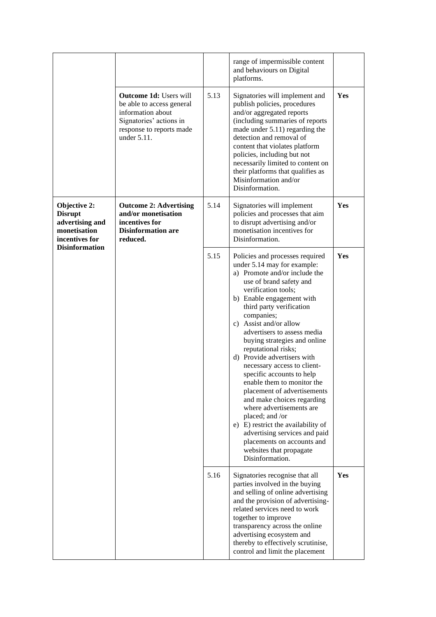|                                                                                                              |                                                                                                                                                       |      | range of impermissible content<br>and behaviours on Digital<br>platforms.                                                                                                                                                                                                                                                                                                                                                                                                                                                                                                                                                                                                                                                        |     |
|--------------------------------------------------------------------------------------------------------------|-------------------------------------------------------------------------------------------------------------------------------------------------------|------|----------------------------------------------------------------------------------------------------------------------------------------------------------------------------------------------------------------------------------------------------------------------------------------------------------------------------------------------------------------------------------------------------------------------------------------------------------------------------------------------------------------------------------------------------------------------------------------------------------------------------------------------------------------------------------------------------------------------------------|-----|
|                                                                                                              | <b>Outcome 1d: Users will</b><br>be able to access general<br>information about<br>Signatories' actions in<br>response to reports made<br>under 5.11. | 5.13 | Signatories will implement and<br>publish policies, procedures<br>and/or aggregated reports<br>(including summaries of reports<br>made under 5.11) regarding the<br>detection and removal of<br>content that violates platform<br>policies, including but not<br>necessarily limited to content on<br>their platforms that qualifies as<br>Misinformation and/or<br>Disinformation.                                                                                                                                                                                                                                                                                                                                              | Yes |
| Objective 2:<br><b>Disrupt</b><br>advertising and<br>monetisation<br>incentives for<br><b>Disinformation</b> | <b>Outcome 2: Advertising</b><br>and/or monetisation<br>incentives for<br><b>Disinformation are</b><br>reduced.                                       | 5.14 | Signatories will implement<br>policies and processes that aim<br>to disrupt advertising and/or<br>monetisation incentives for<br>Disinformation.                                                                                                                                                                                                                                                                                                                                                                                                                                                                                                                                                                                 | Yes |
|                                                                                                              |                                                                                                                                                       | 5.15 | Policies and processes required<br>under 5.14 may for example:<br>a) Promote and/or include the<br>use of brand safety and<br>verification tools;<br>b) Enable engagement with<br>third party verification<br>companies;<br>c) Assist and/or allow<br>advertisers to assess media<br>buying strategies and online<br>reputational risks;<br>d) Provide advertisers with<br>necessary access to client-<br>specific accounts to help<br>enable them to monitor the<br>placement of advertisements<br>and make choices regarding<br>where advertisements are<br>placed; and /or<br>e) E) restrict the availability of<br>advertising services and paid<br>placements on accounts and<br>websites that propagate<br>Disinformation. | Yes |
|                                                                                                              |                                                                                                                                                       | 5.16 | Signatories recognise that all<br>parties involved in the buying<br>and selling of online advertising<br>and the provision of advertising-<br>related services need to work<br>together to improve<br>transparency across the online<br>advertising ecosystem and<br>thereby to effectively scrutinise,<br>control and limit the placement                                                                                                                                                                                                                                                                                                                                                                                       | Yes |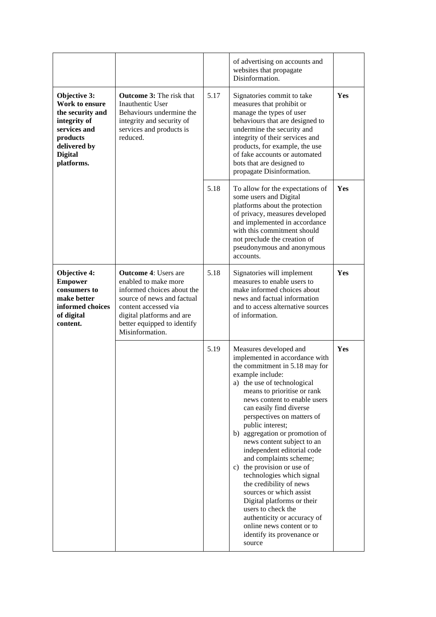|                                                                                                                                                |                                                                                                                                                                                                                        |      | of advertising on accounts and<br>websites that propagate<br>Disinformation.                                                                                                                                                                                                                                                                                                                                                                                                                                                                                                                                                                                                                  |            |
|------------------------------------------------------------------------------------------------------------------------------------------------|------------------------------------------------------------------------------------------------------------------------------------------------------------------------------------------------------------------------|------|-----------------------------------------------------------------------------------------------------------------------------------------------------------------------------------------------------------------------------------------------------------------------------------------------------------------------------------------------------------------------------------------------------------------------------------------------------------------------------------------------------------------------------------------------------------------------------------------------------------------------------------------------------------------------------------------------|------------|
| Objective 3:<br>Work to ensure<br>the security and<br>integrity of<br>services and<br>products<br>delivered by<br><b>Digital</b><br>platforms. | <b>Outcome 3:</b> The risk that<br>Inauthentic User<br>Behaviours undermine the<br>integrity and security of<br>services and products is<br>reduced.                                                                   | 5.17 | Signatories commit to take<br>measures that prohibit or<br>manage the types of user<br>behaviours that are designed to<br>undermine the security and<br>integrity of their services and<br>products, for example, the use<br>of fake accounts or automated<br>bots that are designed to<br>propagate Disinformation.                                                                                                                                                                                                                                                                                                                                                                          | Yes        |
|                                                                                                                                                |                                                                                                                                                                                                                        | 5.18 | To allow for the expectations of<br>some users and Digital<br>platforms about the protection<br>of privacy, measures developed<br>and implemented in accordance<br>with this commitment should<br>not preclude the creation of<br>pseudonymous and anonymous<br>accounts.                                                                                                                                                                                                                                                                                                                                                                                                                     | Yes        |
| <b>Objective 4:</b><br><b>Empower</b><br>consumers to<br>make better<br>informed choices<br>of digital<br>content.                             | <b>Outcome 4: Users are</b><br>enabled to make more<br>informed choices about the<br>source of news and factual<br>content accessed via<br>digital platforms and are<br>better equipped to identify<br>Misinformation. | 5.18 | Signatories will implement<br>measures to enable users to<br>make informed choices about<br>news and factual information<br>and to access alternative sources<br>of information.                                                                                                                                                                                                                                                                                                                                                                                                                                                                                                              | Yes        |
|                                                                                                                                                |                                                                                                                                                                                                                        | 5.19 | Measures developed and<br>implemented in accordance with<br>the commitment in 5.18 may for<br>example include:<br>a) the use of technological<br>means to prioritise or rank<br>news content to enable users<br>can easily find diverse<br>perspectives on matters of<br>public interest;<br>aggregation or promotion of<br>b)<br>news content subject to an<br>independent editorial code<br>and complaints scheme;<br>c) the provision or use of<br>technologies which signal<br>the credibility of news<br>sources or which assist<br>Digital platforms or their<br>users to check the<br>authenticity or accuracy of<br>online news content or to<br>identify its provenance or<br>source | <b>Yes</b> |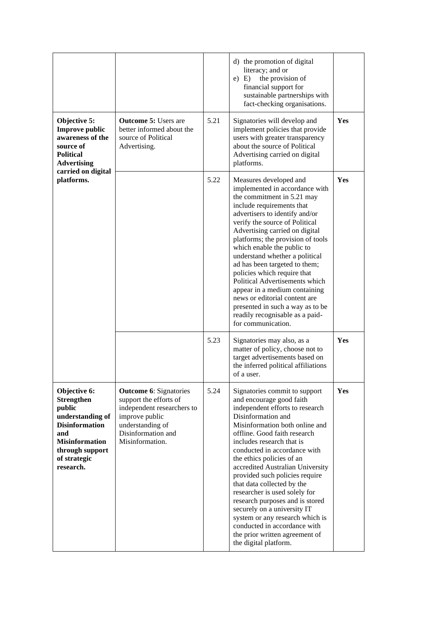|                                                                                                                                                                          |                                                                                                                                                                      |      | d) the promotion of digital<br>literacy; and or<br>the provision of<br>$e)$ E)<br>financial support for<br>sustainable partnerships with<br>fact-checking organisations.                                                                                                                                                                                                                                                                                                                                                                                                                                            |     |
|--------------------------------------------------------------------------------------------------------------------------------------------------------------------------|----------------------------------------------------------------------------------------------------------------------------------------------------------------------|------|---------------------------------------------------------------------------------------------------------------------------------------------------------------------------------------------------------------------------------------------------------------------------------------------------------------------------------------------------------------------------------------------------------------------------------------------------------------------------------------------------------------------------------------------------------------------------------------------------------------------|-----|
| Objective 5:<br><b>Improve public</b><br>awareness of the<br>source of<br><b>Political</b><br><b>Advertising</b><br>carried on digital<br>platforms.                     | <b>Outcome 5: Users are</b><br>better informed about the<br>source of Political<br>Advertising.                                                                      | 5.21 | Signatories will develop and<br>implement policies that provide<br>users with greater transparency<br>about the source of Political<br>Advertising carried on digital<br>platforms.                                                                                                                                                                                                                                                                                                                                                                                                                                 | Yes |
|                                                                                                                                                                          |                                                                                                                                                                      | 5.22 | Measures developed and<br>implemented in accordance with<br>the commitment in 5.21 may<br>include requirements that<br>advertisers to identify and/or<br>verify the source of Political<br>Advertising carried on digital<br>platforms; the provision of tools<br>which enable the public to<br>understand whether a political<br>ad has been targeted to them;<br>policies which require that<br>Political Advertisements which<br>appear in a medium containing<br>news or editorial content are<br>presented in such a way as to be<br>readily recognisable as a paid-<br>for communication.                     | Yes |
|                                                                                                                                                                          |                                                                                                                                                                      | 5.23 | Signatories may also, as a<br>matter of policy, choose not to<br>target advertisements based on<br>the inferred political affiliations<br>of a user.                                                                                                                                                                                                                                                                                                                                                                                                                                                                | Yes |
| Objective 6:<br><b>Strengthen</b><br>public<br>understanding of<br><b>Disinformation</b><br>and<br><b>Misinformation</b><br>through support<br>of strategic<br>research. | <b>Outcome 6: Signatories</b><br>support the efforts of<br>independent researchers to<br>improve public<br>understanding of<br>Disinformation and<br>Misinformation. | 5.24 | Signatories commit to support<br>and encourage good faith<br>independent efforts to research<br>Disinformation and<br>Misinformation both online and<br>offline. Good faith research<br>includes research that is<br>conducted in accordance with<br>the ethics policies of an<br>accredited Australian University<br>provided such policies require<br>that data collected by the<br>researcher is used solely for<br>research purposes and is stored<br>securely on a university IT<br>system or any research which is<br>conducted in accordance with<br>the prior written agreement of<br>the digital platform. | Yes |